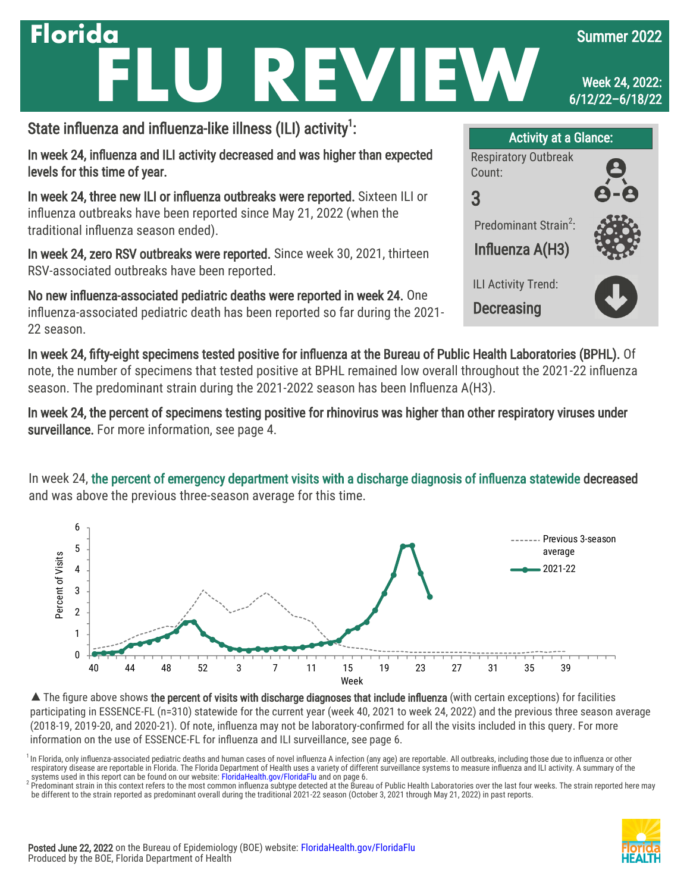### State influenza and influenza-like illness (ILI) activity<sup>1</sup>: **Florida JREVIE** Summer 2022 Week 24, 2022: 6/12/22–6/18/22 Activity at a Glance:

In week 24, influenza and ILI activity decreased and was higher than expected levels for this time of year.

In week 24, three new ILI or influenza outbreaks were reported. Sixteen ILI or influenza outbreaks have been reported since May 21, 2022 (when the traditional influenza season ended).

In week 24, zero RSV outbreaks were reported. Since week 30, 2021, thirteen RSV-associated outbreaks have been reported.

No new influenza-associated pediatric deaths were reported in week 24. One influenza-associated pediatric death has been reported so far during the 2021- 22 season.



In week 24, fifty-eight specimens tested positive for influenza at the Bureau of Public Health Laboratories (BPHL). Of note, the number of specimens that tested positive at BPHL remained low overall throughout the 2021-22 influenza season. The predominant strain during the 2021-2022 season has been Influenza A(H3).

In week 24, the percent of specimens testing positive for rhinovirus was higher than other respiratory viruses under surveillance. For more information, see page 4.

In week 24, the percent of emergency department visits with a discharge diagnosis of influenza statewide decreased and was above the previous three-season average for this time.



▲ The figure above shows the percent of visits with discharge diagnoses that include influenza (with certain exceptions) for facilities participating in ESSENCE-FL (n=310) statewide for the current year (week 40, 2021 to week 24, 2022) and the previous three season average (2018-19, 2019-20, and 2020-21). Of note, influenza may not be laboratory-confirmed for all the visits included in this query. For more information on the use of ESSENCE-FL for influenza and ILI surveillance, see page 6.

<sup>1</sup> In Florida, only influenza-associated pediatric deaths and human cases of novel influenza A infection (any age) are reportable. All outbreaks, including those due to influenza or other respiratory disease are reportable in Florida. The Florida Department of Health uses a variety of different surveillance systems to measure influenza and ILI activity. A summary of the systems used in this report can be found on our website: [FloridaHealth.gov/FloridaFlu](http://www.floridahealth.gov/floridaflu) and on page 6.

<sup>2</sup> Predominant strain in this context refers to the most common influenza subtype detected at the Bureau of Public Health Laboratories over the last four weeks. The strain reported here may<br>be different to the strain repo

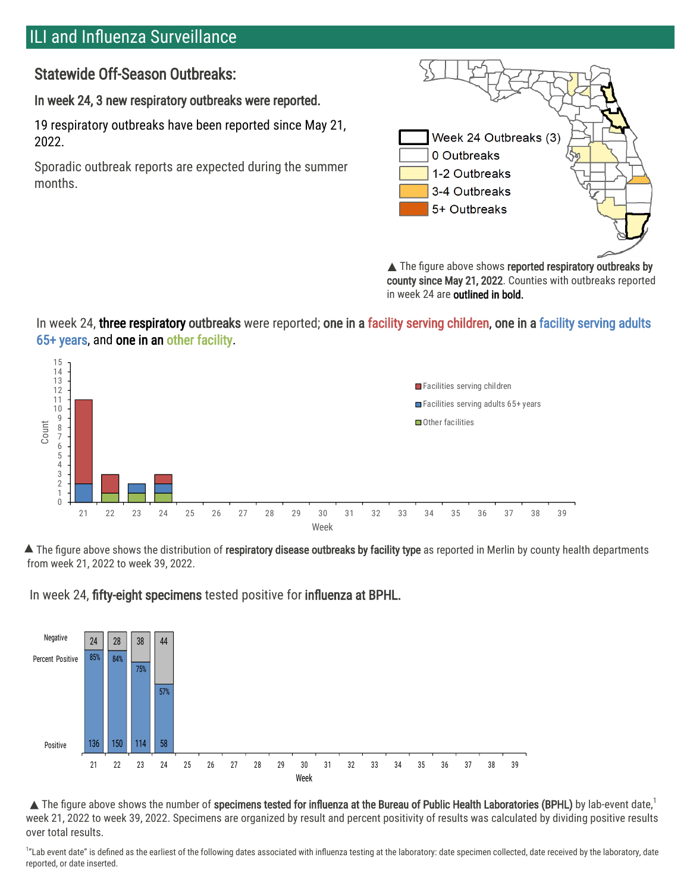## ILI and Influenza Surveillance

Statewide Off-Season Outbreaks:

In week 24, 3 new respiratory outbreaks were reported.

19 respiratory outbreaks have been reported since May 21, 2022.

Sporadic outbreak reports are expected during the summer months.



▲ The figure above shows reported respiratory outbreaks by county since May 21, 2022. Counties with outbreaks reported in week 24 are outlined in bold.

In week 24, three respiratory outbreaks were reported; one in a facility serving children, one in a facility serving adults 65+ years, and one in an other facility.



▲ The figure above shows the distribution of respiratory disease outbreaks by facility type as reported in Merlin by county health departments from week 21, 2022 to week 39, 2022.

In week 24, fifty-eight specimens tested positive for influenza at BPHL.



 $\blacktriangle$  The figure above shows the number of specimens tested for influenza at the Bureau of Public Health Laboratories (BPHL) by lab-event date, $^1$ week 21, 2022 to week 39, 2022. Specimens are organized by result and percent positivity of results was calculated by dividing positive results over total results.

<sup>1</sup>"Lab event date" is defined as the earliest of the following dates associated with influenza testing at the laboratory: date specimen collected, date received by the laboratory, date reported, or date inserted.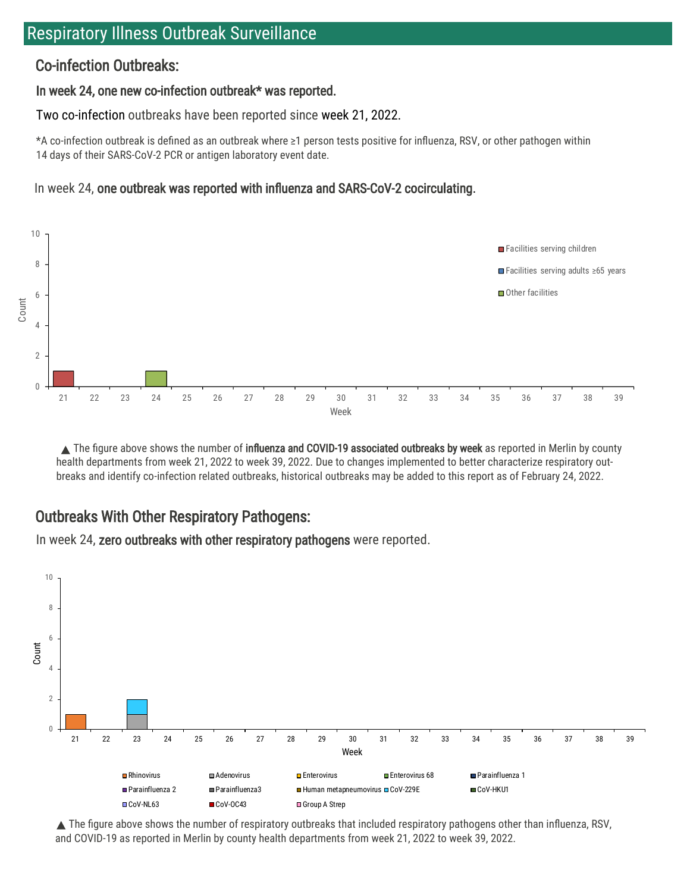## Respiratory Illness Outbreak Surveillance

### Co-infection Outbreaks:

#### In week 24, one new co-infection outbreak\* was reported.

Two co-infection outbreaks have been reported since week 21, 2022.

\*A co-infection outbreak is defined as an outbreak where ≥1 person tests positive for influenza, RSV, or other pathogen within 14 days of their SARS-CoV-2 PCR or antigen laboratory event date.

### In week 24, one outbreak was reported with influenza and SARS-CoV-2 cocirculating.



The figure above shows the number of influenza and COVID-19 associated outbreaks by week as reported in Merlin by county health departments from week 21, 2022 to week 39, 2022. Due to changes implemented to better characterize respiratory outbreaks and identify co-infection related outbreaks, historical outbreaks may be added to this report as of February 24, 2022.

## Outbreaks With Other Respiratory Pathogens:

In week 24, zero outbreaks with other respiratory pathogens were reported.



 $\triangle$  The figure above shows the number of respiratory outbreaks that included respiratory pathogens other than influenza, RSV, and COVID-19 as reported in Merlin by county health departments from week 21, 2022 to week 39, 2022.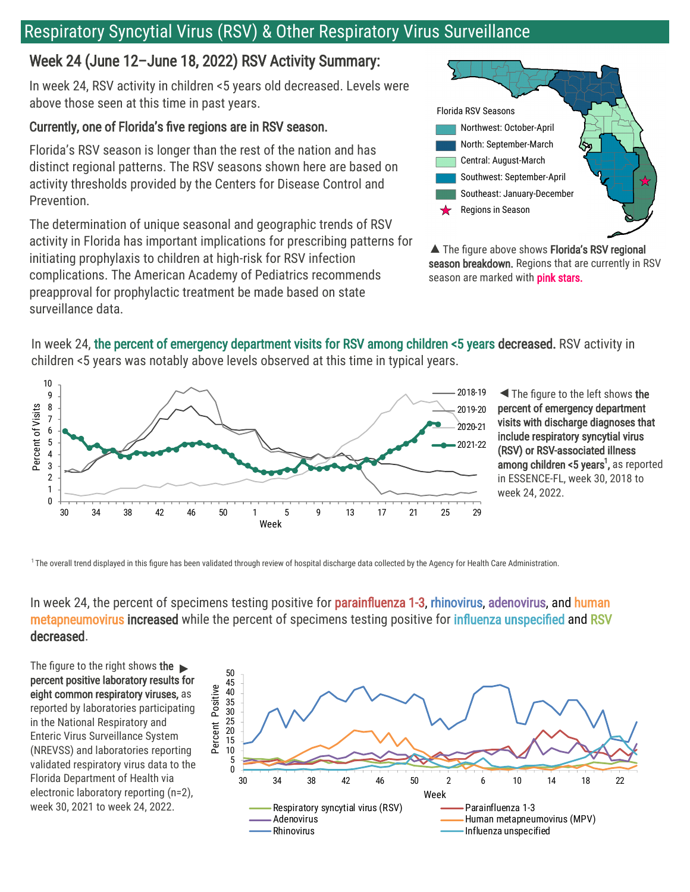# Respiratory Syncytial Virus (RSV) & Other Respiratory Virus Surveillance

## Week 24 (June 12–June 18, 2022) RSV Activity Summary:

In week 24, RSV activity in children <5 years old decreased. Levels were above those seen at this time in past years.

### Currently, one of Florida's five regions are in RSV season.

Florida's RSV season is longer than the rest of the nation and has distinct regional patterns. The RSV seasons shown here are based on activity thresholds provided by the Centers for Disease Control and Prevention.

The determination of unique seasonal and geographic trends of RSV activity in Florida has important implications for prescribing patterns for initiating prophylaxis to children at high-risk for RSV infection complications. The American Academy of Pediatrics recommends preapproval for prophylactic treatment be made based on state surveillance data.



▲ The figure above shows Florida's RSV regional season breakdown. Regions that are currently in RSV season are marked with pink stars.

In week 24, the percent of emergency department visits for RSV among children <5 years decreased. RSV activity in children <5 years was notably above levels observed at this time in typical years.



The figure to the left shows the percent of emergency department visits with discharge diagnoses that include respiratory syncytial virus (RSV) or RSV-associated illness **among children <5 years<sup>1</sup>,** as reported in ESSENCE-FL, week 30, 2018 to week 24, 2022.

<sup>1</sup> The overall trend displayed in this figure has been validated through review of hospital discharge data collected by the Agency for Health Care Administration.

### In week 24, the percent of specimens testing positive for parainfluenza 1-3, rhinovirus, adenovirus, and human metapneumovirus increased while the percent of specimens testing positive for influenza unspecified and RSV decreased.

The figure to the right shows the  $\blacktriangleright$ percent positive laboratory results for eight common respiratory viruses, as reported by laboratories participating in the National Respiratory and Enteric Virus Surveillance System (NREVSS) and laboratories reporting validated respiratory virus data to the Florida Department of Health via electronic laboratory reporting (n=2), week 30, 2021 to week 24, 2022.

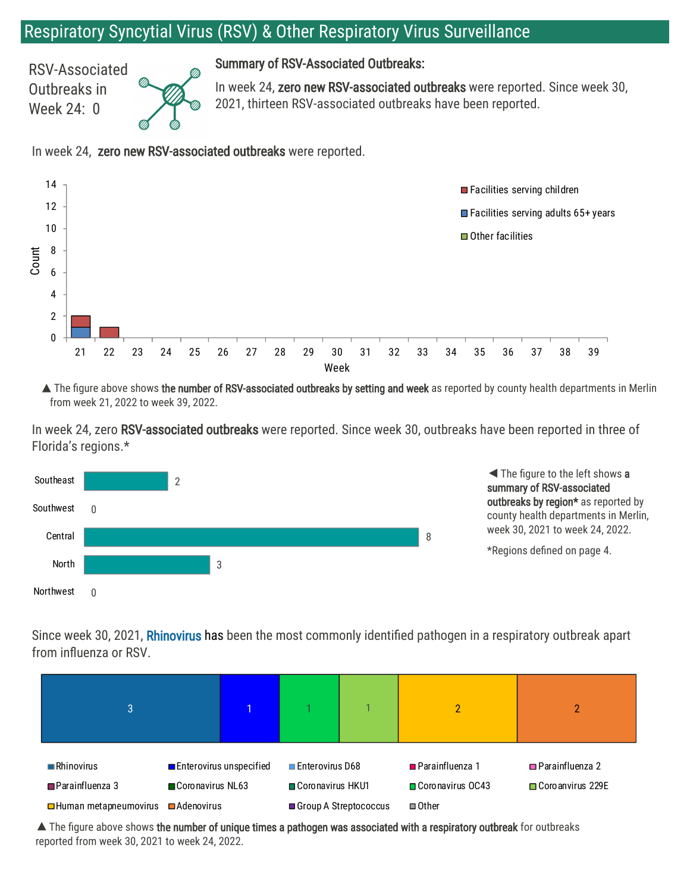## Respiratory Syncytial Virus (RSV) & Other Respiratory Virus Surveillance

RSV-Associated Outbreaks in Week 24: 0



Summary of RSV-Associated Outbreaks:

In week 24, zero new RSV-associated outbreaks were reported. Since week 30, 2021, thirteen RSV-associated outbreaks have been reported.

In week 24, zero new RSV-associated outbreaks were reported.



▲ The figure above shows the number of RSV-associated outbreaks by setting and week as reported by county health departments in Merlin from week 21, 2022 to week 39, 2022.

In week 24, zero RSV-associated outbreaks were reported. Since week 30, outbreaks have been reported in three of Florida's regions.\*



| <b>lorthwest</b>                                                                                                                                                          |  |  |                                                                       |  |                                                                        |                                               |
|---------------------------------------------------------------------------------------------------------------------------------------------------------------------------|--|--|-----------------------------------------------------------------------|--|------------------------------------------------------------------------|-----------------------------------------------|
| ince week 30, 2021, <b>Rhinovirus</b> has been the most commonly identified pathogen in a respiratory outbreak apart<br>rom influenza or RSV.                             |  |  |                                                                       |  |                                                                        |                                               |
| 3                                                                                                                                                                         |  |  |                                                                       |  | 2                                                                      | 2                                             |
| $\blacksquare$ Rhinovirus<br><b>Enterovirus unspecified</b><br>$\blacksquare$ Parainfluenza 3<br>Coronavirus NL63<br>□ Human metapneumovirus<br>$\blacksquare$ Adenovirus |  |  | <b>□</b> Enterovirus D68<br>Coronavirus HKU1<br>Group A Streptococcus |  | <b>■</b> Parainfluenza 1<br>□ Coronavirus OC43<br>$\blacksquare$ Other | $\Box$ Parainfluenza 2<br>□ Coro anvirus 229E |

 $\blacktriangle$  The figure above shows the number of unique times a pathogen was associated with a respiratory outbreak for outbreaks reported from week 30, 2021 to week 24, 2022.